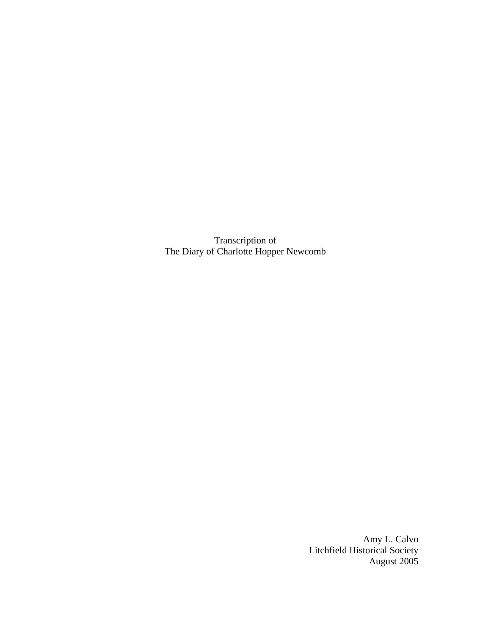Transcription of The Diary of Charlotte Hopper Newcomb

> Amy L. Calvo Litchfield Historical Society August 2005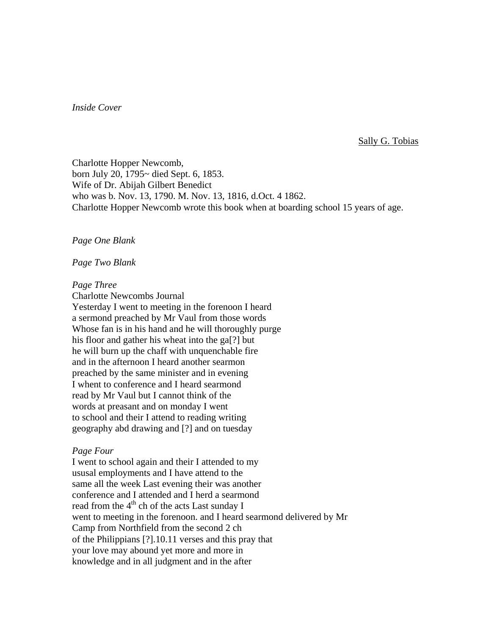# *Inside Cover*

Sally G. Tobias

Charlotte Hopper Newcomb, born July 20, 1795~ died Sept. 6, 1853. Wife of Dr. Abijah Gilbert Benedict who was b. Nov. 13, 1790. M. Nov. 13, 1816, d.Oct. 4 1862. Charlotte Hopper Newcomb wrote this book when at boarding school 15 years of age.

# *Page One Blank*

#### *Page Two Blank*

#### *Page Three*

Charlotte Newcombs Journal

Yesterday I went to meeting in the forenoon I heard a sermond preached by Mr Vaul from those words Whose fan is in his hand and he will thoroughly purge his floor and gather his wheat into the ga[?] but he will burn up the chaff with unquenchable fire and in the afternoon I heard another searmon preached by the same minister and in evening I whent to conference and I heard searmond read by Mr Vaul but I cannot think of the words at preasant and on monday I went to school and their I attend to reading writing geography abd drawing and [?] and on tuesday

#### *Page Four*

I went to school again and their I attended to my ususal employments and I have attend to the same all the week Last evening their was another conference and I attended and I herd a searmond read from the 4<sup>th</sup> ch of the acts Last sunday I went to meeting in the forenoon. and I heard searmond delivered by Mr Camp from Northfield from the second 2 ch of the Philippians [?].10.11 verses and this pray that your love may abound yet more and more in knowledge and in all judgment and in the after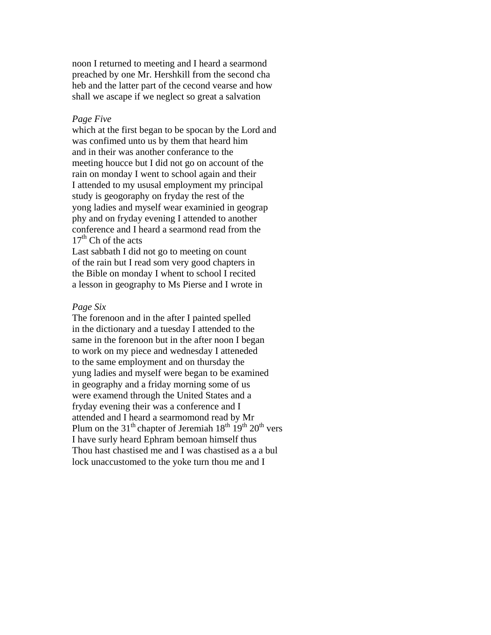noon I returned to meeting and I heard a searmond preached by one Mr. Hershkill from the second cha heb and the latter part of the cecond vearse and how shall we ascape if we neglect so great a salvation

### *Page Five*

which at the first began to be spocan by the Lord and was confimed unto us by them that heard him and in their was another conferance to the meeting houcce but I did not go on account of the rain on monday I went to school again and their I attended to my ususal employment my principal study is geogoraphy on fryday the rest of the yong ladies and myself wear examinied in geograp phy and on fryday evening I attended to another conference and I heard a searmond read from the  $17<sup>th</sup>$  Ch of the acts

Last sabbath I did not go to meeting on count of the rain but I read som very good chapters in the Bible on monday I whent to school I recited a lesson in geography to Ms Pierse and I wrote in

#### *Page Six*

The forenoon and in the after I painted spelled in the dictionary and a tuesday I attended to the same in the forenoon but in the after noon I began to work on my piece and wednesday I atteneded to the same employment and on thursday the yung ladies and myself were began to be examined in geography and a friday morning some of us were examend through the United States and a fryday evening their was a conference and I attended and I heard a searmomond read by Mr Plum on the 31<sup>th</sup> chapter of Jeremiah  $18^{th}$   $19^{th}$   $20^{th}$  vers I have surly heard Ephram bemoan himself thus Thou hast chastised me and I was chastised as a a bul lock unaccustomed to the yoke turn thou me and I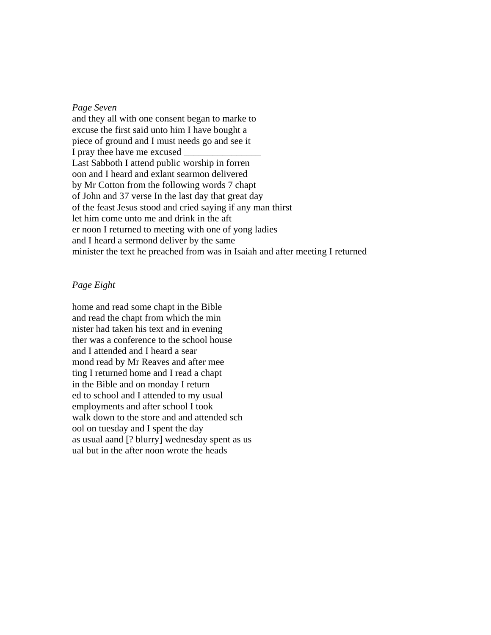#### *Page Seven*

and they all with one consent began to marke to excuse the first said unto him I have bought a piece of ground and I must needs go and see it I pray thee have me excused Last Sabboth I attend public worship in forren oon and I heard and exlant searmon delivered by Mr Cotton from the following words 7 chapt of John and 37 verse In the last day that great day of the feast Jesus stood and cried saying if any man thirst let him come unto me and drink in the aft er noon I returned to meeting with one of yong ladies and I heard a sermond deliver by the same minister the text he preached from was in Isaiah and after meeting I returned

# *Page Eight*

home and read some chapt in the Bible and read the chapt from which the min nister had taken his text and in evening ther was a conference to the school house and I attended and I heard a sear mond read by Mr Reaves and after mee ting I returned home and I read a chapt in the Bible and on monday I return ed to school and I attended to my usual employments and after school I took walk down to the store and and attended sch ool on tuesday and I spent the day as usual aand [? blurry] wednesday spent as us ual but in the after noon wrote the heads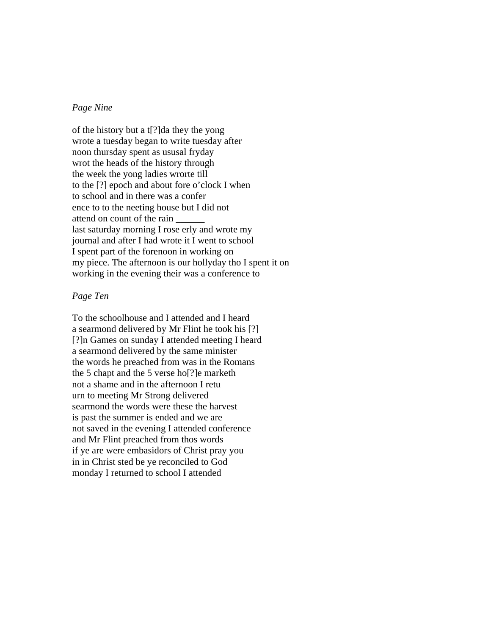## *Page Nine*

of the history but a t[?]da they the yong wrote a tuesday began to write tuesday after noon thursday spent as ususal fryday wrot the heads of the history through the week the yong ladies wrorte till to the [?] epoch and about fore o'clock I when to school and in there was a confer ence to to the neeting house but I did not attend on count of the rain \_\_\_\_\_\_ last saturday morning I rose erly and wrote my journal and after I had wrote it I went to school I spent part of the forenoon in working on my piece. The afternoon is our hollyday tho I spent it on working in the evening their was a conference to

# *Page Ten*

To the schoolhouse and I attended and I heard a searmond delivered by Mr Flint he took his [?] [?]n Games on sunday I attended meeting I heard a searmond delivered by the same minister the words he preached from was in the Romans the 5 chapt and the 5 verse ho[?]e marketh not a shame and in the afternoon I retu urn to meeting Mr Strong delivered searmond the words were these the harvest is past the summer is ended and we are not saved in the evening I attended conference and Mr Flint preached from thos words if ye are were embasidors of Christ pray you in in Christ sted be ye reconciled to God monday I returned to school I attended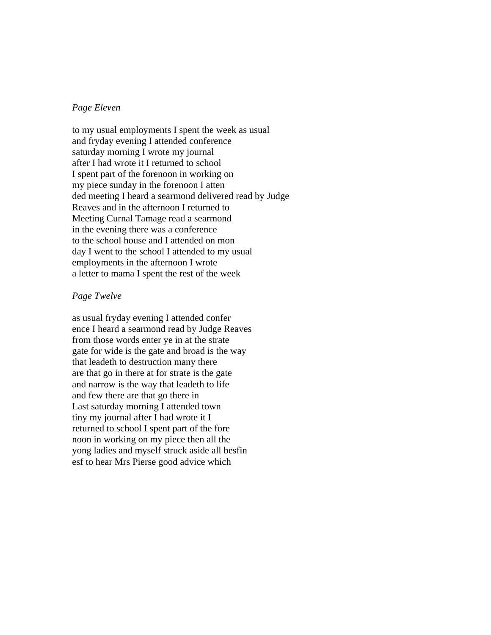# *Page Eleven*

to my usual employments I spent the week as usual and fryday evening I attended conference saturday morning I wrote my journal after I had wrote it I returned to school I spent part of the forenoon in working on my piece sunday in the forenoon I atten ded meeting I heard a searmond delivered read by Judge Reaves and in the afternoon I returned to Meeting Curnal Tamage read a searmond in the evening there was a conference to the school house and I attended on mon day I went to the school I attended to my usual employments in the afternoon I wrote a letter to mama I spent the rest of the week

# *Page Twelve*

as usual fryday evening I attended confer ence I heard a searmond read by Judge Reaves from those words enter ye in at the strate gate for wide is the gate and broad is the way that leadeth to destruction many there are that go in there at for strate is the gate and narrow is the way that leadeth to life and few there are that go there in Last saturday morning I attended town tiny my journal after I had wrote it I returned to school I spent part of the fore noon in working on my piece then all the yong ladies and myself struck aside all besfin esf to hear Mrs Pierse good advice which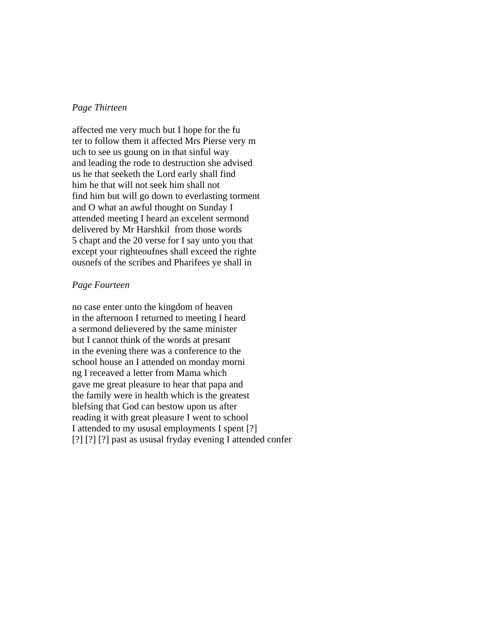# *Page Thirteen*

affected me very much but I hope for the fu ter to follow them it affected Mrs Pierse very m uch to see us goung on in that sinful way and leading the rode to destruction she advised us he that seeketh the Lord early shall find him he that will not seek him shall not find him but will go down to everlasting torment and O what an awful thought on Sunday I attended meeting I heard an excelent sermond delivered by Mr Harshkil from those words 5 chapt and the 20 verse for I say unto you that except your righteoufnes shall exceed the righte ousnefs of the scribes and Pharifees ye shall in

### *Page Fourteen*

no case enter unto the kingdom of heaven in the afternoon I returned to meeting I heard a sermond delievered by the same minister but I cannot think of the words at presant in the evening there was a conference to the school house an I attended on monday morni ng I receaved a letter from Mama which gave me great pleasure to hear that papa and the family were in health which is the greatest blefsing that God can bestow upon us after reading it with great pleasure I went to school I attended to my ususal employments I spent [?] [?] [?] [?] past as ususal fryday evening I attended confer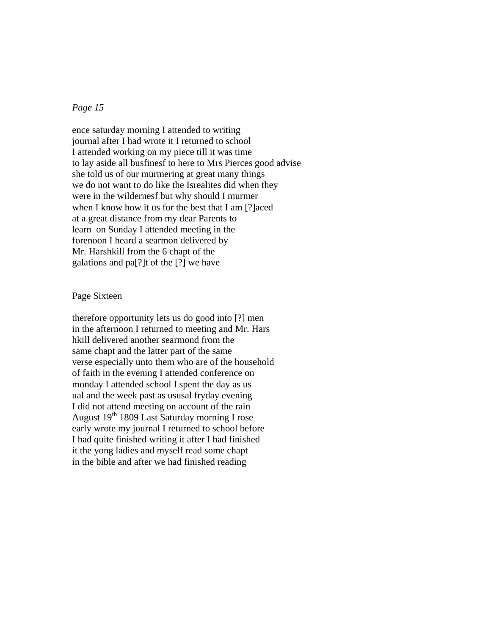# *Page 15*

ence saturday morning I attended to writing journal after I had wrote it I returned to school I attended working on my piece till it was time to lay aside all busfinesf to here to Mrs Pierces good advise she told us of our murmering at great many things we do not want to do like the Isrealites did when they were in the wildernesf but why should I murmer when I know how it us for the best that I am [?]aced at a great distance from my dear Parents to learn on Sunday I attended meeting in the forenoon I heard a searmon delivered by Mr. Harshkill from the 6 chapt of the galations and pa[?]t of the [?] we have

# Page Sixteen

therefore opportunity lets us do good into [?] men in the afternoon I returned to meeting and Mr. Hars hkill delivered another searmond from the same chapt and the latter part of the same verse especially unto them who are of the household of faith in the evening I attended conference on monday I attended school I spent the day as us ual and the week past as ususal fryday evening I did not attend meeting on account of the rain August 19th 1809 Last Saturday morning I rose early wrote my journal I returned to school before I had quite finished writing it after I had finished it the yong ladies and myself read some chapt in the bible and after we had finished reading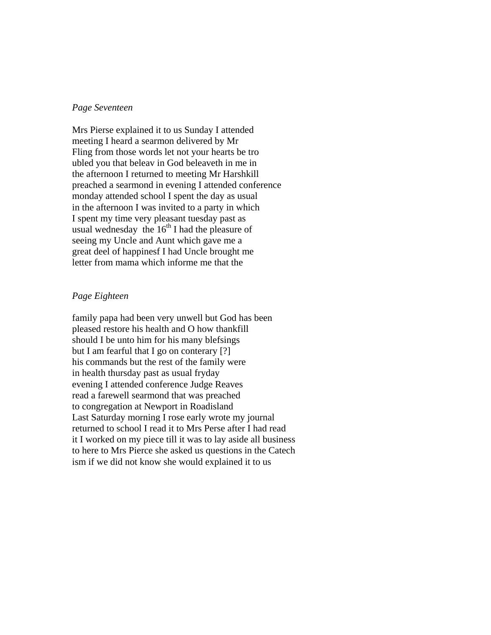### *Page Seventeen*

Mrs Pierse explained it to us Sunday I attended meeting I heard a searmon delivered by Mr Fling from those words let not your hearts be tro ubled you that beleav in God beleaveth in me in the afternoon I returned to meeting Mr Harshkill preached a searmond in evening I attended conference monday attended school I spent the day as usual in the afternoon I was invited to a party in which I spent my time very pleasant tuesday past as usual wednesday the  $16<sup>th</sup>$  I had the pleasure of seeing my Uncle and Aunt which gave me a great deel of happinesf I had Uncle brought me letter from mama which informe me that the

# *Page Eighteen*

family papa had been very unwell but God has been pleased restore his health and O how thankfill should I be unto him for his many blefsings but I am fearful that I go on conterary [?] his commands but the rest of the family were in health thursday past as usual fryday evening I attended conference Judge Reaves read a farewell searmond that was preached to congregation at Newport in Roadisland Last Saturday morning I rose early wrote my journal returned to school I read it to Mrs Perse after I had read it I worked on my piece till it was to lay aside all business to here to Mrs Pierce she asked us questions in the Catech ism if we did not know she would explained it to us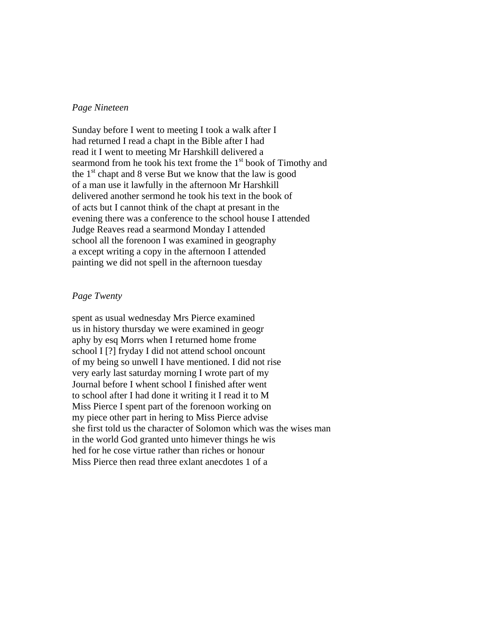# *Page Nineteen*

Sunday before I went to meeting I took a walk after I had returned I read a chapt in the Bible after I had read it I went to meeting Mr Harshkill delivered a searmond from he took his text frome the  $1<sup>st</sup>$  book of Timothy and the  $1<sup>st</sup>$  chapt and 8 verse But we know that the law is good of a man use it lawfully in the afternoon Mr Harshkill delivered another sermond he took his text in the book of of acts but I cannot think of the chapt at presant in the evening there was a conference to the school house I attended Judge Reaves read a searmond Monday I attended school all the forenoon I was examined in geography a except writing a copy in the afternoon I attended painting we did not spell in the afternoon tuesday

# *Page Twenty*

spent as usual wednesday Mrs Pierce examined us in history thursday we were examined in geogr aphy by esq Morrs when I returned home frome school I [?] fryday I did not attend school oncount of my being so unwell I have mentioned. I did not rise very early last saturday morning I wrote part of my Journal before I whent school I finished after went to school after I had done it writing it I read it to M Miss Pierce I spent part of the forenoon working on my piece other part in hering to Miss Pierce advise she first told us the character of Solomon which was the wises man in the world God granted unto himever things he wis hed for he cose virtue rather than riches or honour Miss Pierce then read three exlant anecdotes 1 of a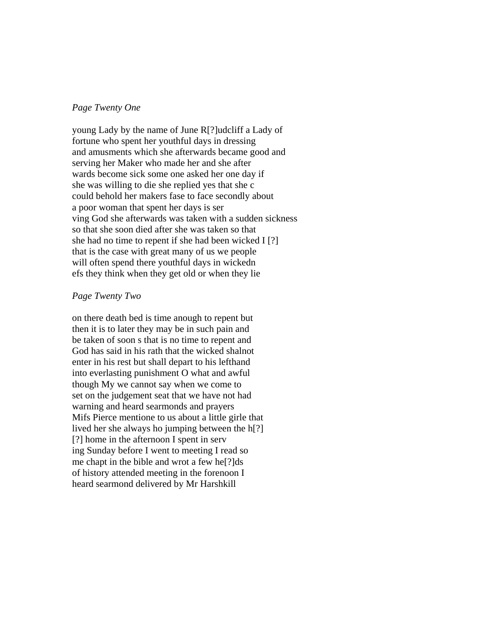# *Page Twenty One*

young Lady by the name of June R[?]udcliff a Lady of fortune who spent her youthful days in dressing and amusments which she afterwards became good and serving her Maker who made her and she after wards become sick some one asked her one day if she was willing to die she replied yes that she c could behold her makers fase to face secondly about a poor woman that spent her days is ser ving God she afterwards was taken with a sudden sickness so that she soon died after she was taken so that she had no time to repent if she had been wicked I [?] that is the case with great many of us we people will often spend there youthful days in wickedn efs they think when they get old or when they lie

# *Page Twenty Two*

on there death bed is time anough to repent but then it is to later they may be in such pain and be taken of soon s that is no time to repent and God has said in his rath that the wicked shalnot enter in his rest but shall depart to his lefthand into everlasting punishment O what and awful though My we cannot say when we come to set on the judgement seat that we have not had warning and heard searmonds and prayers Mifs Pierce mentione to us about a little girle that lived her she always ho jumping between the h[?] [?] home in the afternoon I spent in serv ing Sunday before I went to meeting I read so me chapt in the bible and wrot a few he[?]ds of history attended meeting in the forenoon I heard searmond delivered by Mr Harshkill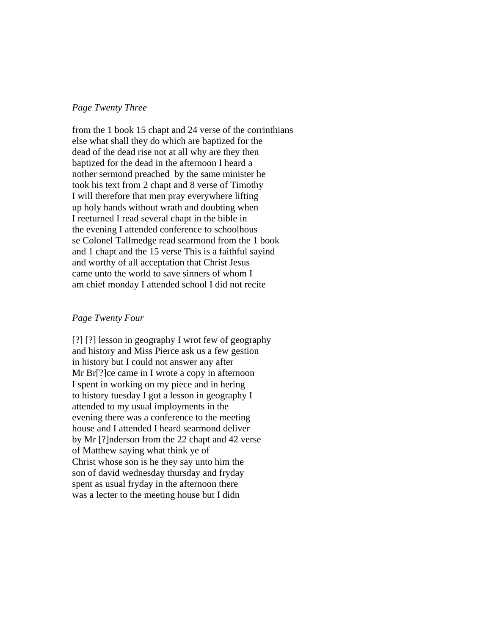# *Page Twenty Three*

from the 1 book 15 chapt and 24 verse of the corrinthians else what shall they do which are baptized for the dead of the dead rise not at all why are they then baptized for the dead in the afternoon I heard a nother sermond preached by the same minister he took his text from 2 chapt and 8 verse of Timothy I will therefore that men pray everywhere lifting up holy hands without wrath and doubting when I reeturned I read several chapt in the bible in the evening I attended conference to schoolhous se Colonel Tallmedge read searmond from the 1 book and 1 chapt and the 15 verse This is a faithful sayind and worthy of all acceptation that Christ Jesus came unto the world to save sinners of whom I am chief monday I attended school I did not recite

### *Page Twenty Four*

[?] [?] lesson in geography I wrot few of geography and history and Miss Pierce ask us a few gestion in history but I could not answer any after Mr Br<sup>[?]</sup>ce came in I wrote a copy in afternoon I spent in working on my piece and in hering to history tuesday I got a lesson in geography I attended to my usual imployments in the evening there was a conference to the meeting house and I attended I heard searmond deliver by Mr [?]nderson from the 22 chapt and 42 verse of Matthew saying what think ye of Christ whose son is he they say unto him the son of david wednesday thursday and fryday spent as usual fryday in the afternoon there was a lecter to the meeting house but I didn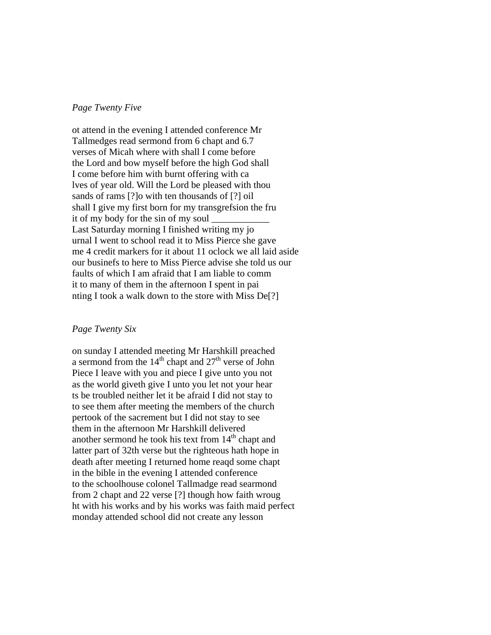## *Page Twenty Five*

ot attend in the evening I attended conference Mr Tallmedges read sermond from 6 chapt and 6.7 verses of Micah where with shall I come before the Lord and bow myself before the high God shall I come before him with burnt offering with ca lves of year old. Will the Lord be pleased with thou sands of rams [?]o with ten thousands of [?] oil shall I give my first born for my transgrefsion the fru it of my body for the sin of my soul Last Saturday morning I finished writing my jo urnal I went to school read it to Miss Pierce she gave me 4 credit markers for it about 11 oclock we all laid aside our businefs to here to Miss Pierce advise she told us our faults of which I am afraid that I am liable to comm it to many of them in the afternoon I spent in pai nting I took a walk down to the store with Miss De[?]

#### *Page Twenty Six*

on sunday I attended meeting Mr Harshkill preached a sermond from the  $14<sup>th</sup>$  chapt and  $27<sup>th</sup>$  verse of John Piece I leave with you and piece I give unto you not as the world giveth give I unto you let not your hear ts be troubled neither let it be afraid I did not stay to to see them after meeting the members of the church pertook of the sacrement but I did not stay to see them in the afternoon Mr Harshkill delivered another sermond he took his text from  $14<sup>th</sup>$  chapt and latter part of 32th verse but the righteous hath hope in death after meeting I returned home reaqd some chapt in the bible in the evening I attended conference to the schoolhouse colonel Tallmadge read searmond from 2 chapt and 22 verse [?] though how faith wroug ht with his works and by his works was faith maid perfect monday attended school did not create any lesson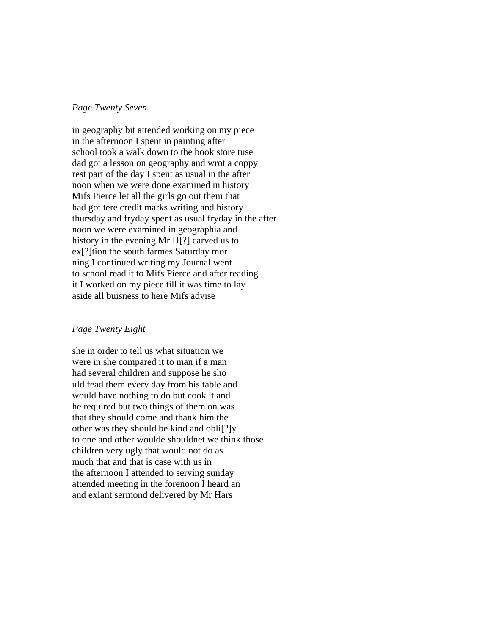### *Page Twenty Seven*

in geography bit attended working on my piece in the afternoon I spent in painting after school took a walk down to the book store tuse dad got a lesson on geography and wrot a coppy rest part of the day I spent as usual in the after noon when we were done examined in history Mifs Pierce let all the girls go out them that had got tere credit marks writing and history thursday and fryday spent as usual fryday in the after noon we were examined in geographia and history in the evening Mr H[?] carved us to ex[?]tion the south farmes Saturday mor ning I continued writing my Journal went to school read it to Mifs Pierce and after reading it I worked on my piece till it was time to lay aside all buisness to here Mifs advise

### *Page Twenty Eight*

she in order to tell us what situation we were in she compared it to man if a man had several children and suppose he sho uld fead them every day from his table and would have nothing to do but cook it and he required but two things of them on was that they should come and thank him the other was they should be kind and obli[?]y to one and other woulde shouldnet we think those children very ugly that would not do as much that and that is case with us in the afternoon I attended to serving sunday attended meeting in the forenoon I heard an and exlant sermond delivered by Mr Hars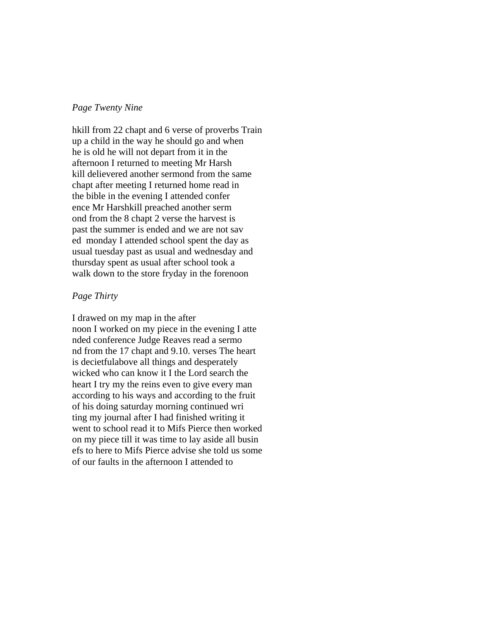# *Page Twenty Nine*

hkill from 22 chapt and 6 verse of proverbs Train up a child in the way he should go and when he is old he will not depart from it in the afternoon I returned to meeting Mr Harsh kill delievered another sermond from the same chapt after meeting I returned home read in the bible in the evening I attended confer ence Mr Harshkill preached another serm ond from the 8 chapt 2 verse the harvest is past the summer is ended and we are not sav ed monday I attended school spent the day as usual tuesday past as usual and wednesday and thursday spent as usual after school took a walk down to the store fryday in the forenoon

# *Page Thirty*

I drawed on my map in the after noon I worked on my piece in the evening I atte nded conference Judge Reaves read a sermo nd from the 17 chapt and 9.10. verses The heart is decietfulabove all things and desperately wicked who can know it I the Lord search the heart I try my the reins even to give every man according to his ways and according to the fruit of his doing saturday morning continued wri ting my journal after I had finished writing it went to school read it to Mifs Pierce then worked on my piece till it was time to lay aside all busin efs to here to Mifs Pierce advise she told us some of our faults in the afternoon I attended to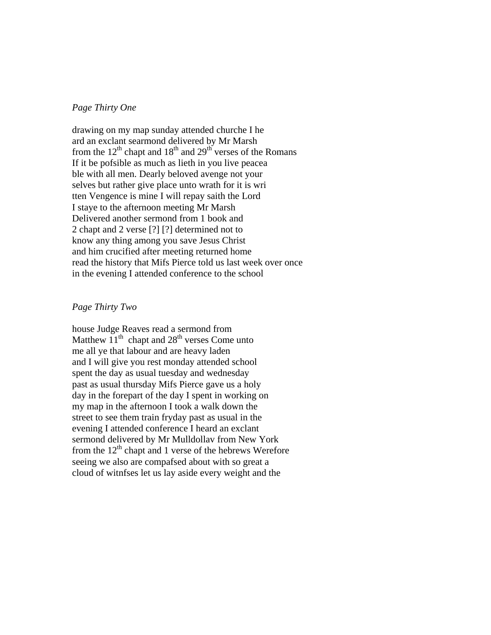# *Page Thirty One*

drawing on my map sunday attended churche I he ard an exclant searmond delivered by Mr Marsh from the  $12^{th}$  chapt and  $18^{th}$  and  $29^{th}$  verses of the Romans If it be pofsible as much as lieth in you live peacea ble with all men. Dearly beloved avenge not your selves but rather give place unto wrath for it is wri tten Vengence is mine I will repay saith the Lord I staye to the afternoon meeting Mr Marsh Delivered another sermond from 1 book and 2 chapt and 2 verse [?] [?] determined not to know any thing among you save Jesus Christ and him crucified after meeting returned home read the history that Mifs Pierce told us last week over once in the evening I attended conference to the school

# *Page Thirty Two*

house Judge Reaves read a sermond from Matthew  $11<sup>th</sup>$  chapt and  $28<sup>th</sup>$  verses Come unto me all ye that labour and are heavy laden and I will give you rest monday attended school spent the day as usual tuesday and wednesday past as usual thursday Mifs Pierce gave us a holy day in the forepart of the day I spent in working on my map in the afternoon I took a walk down the street to see them train fryday past as usual in the evening I attended conference I heard an exclant sermond delivered by Mr Mulldollav from New York from the  $12<sup>th</sup>$  chapt and 1 verse of the hebrews Werefore seeing we also are compafsed about with so great a cloud of witnfses let us lay aside every weight and the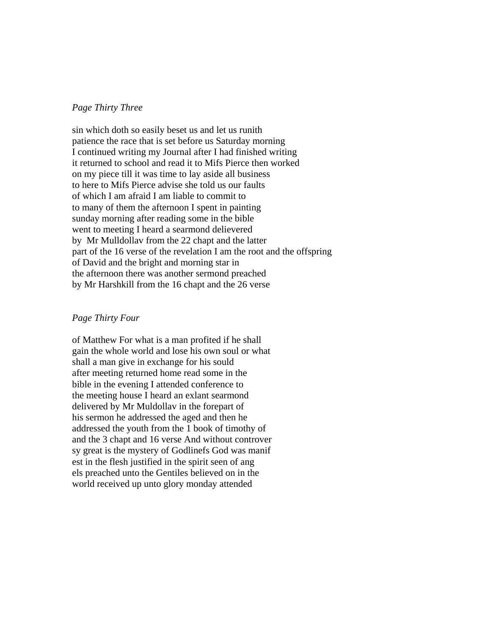## *Page Thirty Three*

sin which doth so easily beset us and let us runith patience the race that is set before us Saturday morning I continued writing my Journal after I had finished writing it returned to school and read it to Mifs Pierce then worked on my piece till it was time to lay aside all business to here to Mifs Pierce advise she told us our faults of which I am afraid I am liable to commit to to many of them the afternoon I spent in painting sunday morning after reading some in the bible went to meeting I heard a searmond delievered by Mr Mulldollav from the 22 chapt and the latter part of the 16 verse of the revelation I am the root and the offspring of David and the bright and morning star in the afternoon there was another sermond preached by Mr Harshkill from the 16 chapt and the 26 verse

### *Page Thirty Four*

of Matthew For what is a man profited if he shall gain the whole world and lose his own soul or what shall a man give in exchange for his sould after meeting returned home read some in the bible in the evening I attended conference to the meeting house I heard an exlant searmond delivered by Mr Muldollav in the forepart of his sermon he addressed the aged and then he addressed the youth from the 1 book of timothy of and the 3 chapt and 16 verse And without controver sy great is the mystery of Godlinefs God was manif est in the flesh justified in the spirit seen of ang els preached unto the Gentiles believed on in the world received up unto glory monday attended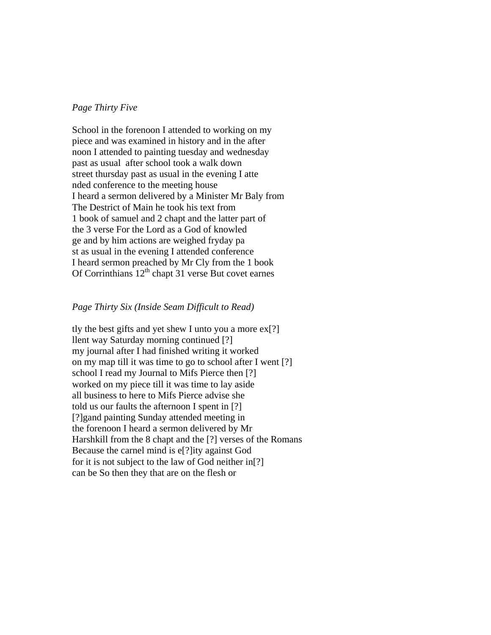### *Page Thirty Five*

School in the forenoon I attended to working on my piece and was examined in history and in the after noon I attended to painting tuesday and wednesday past as usual after school took a walk down street thursday past as usual in the evening I atte nded conference to the meeting house I heard a sermon delivered by a Minister Mr Baly from The Destrict of Main he took his text from 1 book of samuel and 2 chapt and the latter part of the 3 verse For the Lord as a God of knowled ge and by him actions are weighed fryday pa st as usual in the evening I attended conference I heard sermon preached by Mr Cly from the 1 book Of Corrinthians  $12<sup>th</sup>$  chapt 31 verse But covet earnes

# *Page Thirty Six (Inside Seam Difficult to Read)*

tly the best gifts and yet shew I unto you a more  $ex[?]$ llent way Saturday morning continued [?] my journal after I had finished writing it worked on my map till it was time to go to school after I went [?] school I read my Journal to Mifs Pierce then [?] worked on my piece till it was time to lay aside all business to here to Mifs Pierce advise she told us our faults the afternoon I spent in [?] [?]gand painting Sunday attended meeting in the forenoon I heard a sermon delivered by Mr Harshkill from the 8 chapt and the [?] verses of the Romans Because the carnel mind is e[?]ity against God for it is not subject to the law of God neither in[?] can be So then they that are on the flesh or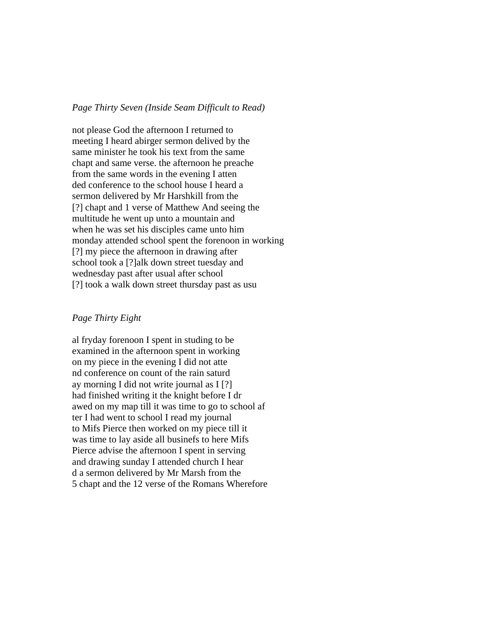#### *Page Thirty Seven (Inside Seam Difficult to Read)*

not please God the afternoon I returned to meeting I heard abirger sermon delived by the same minister he took his text from the same chapt and same verse. the afternoon he preache from the same words in the evening I atten ded conference to the school house I heard a sermon delivered by Mr Harshkill from the [?] chapt and 1 verse of Matthew And seeing the multitude he went up unto a mountain and when he was set his disciples came unto him monday attended school spent the forenoon in working [?] my piece the afternoon in drawing after school took a [?]alk down street tuesday and wednesday past after usual after school [?] took a walk down street thursday past as usu

# *Page Thirty Eight*

al fryday forenoon I spent in studing to be examined in the afternoon spent in working on my piece in the evening I did not atte nd conference on count of the rain saturd ay morning I did not write journal as I [?] had finished writing it the knight before I dr awed on my map till it was time to go to school af ter I had went to school I read my journal to Mifs Pierce then worked on my piece till it was time to lay aside all businefs to here Mifs Pierce advise the afternoon I spent in serving and drawing sunday I attended church I hear d a sermon delivered by Mr Marsh from the 5 chapt and the 12 verse of the Romans Wherefore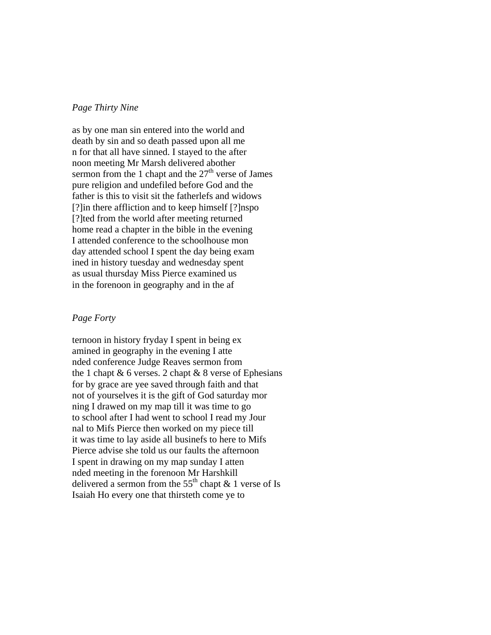# *Page Thirty Nine*

as by one man sin entered into the world and death by sin and so death passed upon all me n for that all have sinned. I stayed to the after noon meeting Mr Marsh delivered abother sermon from the 1 chapt and the  $27<sup>th</sup>$  verse of James pure religion and undefiled before God and the father is this to visit sit the fatherlefs and widows [?]in there affliction and to keep himself [?]nspo [?]ted from the world after meeting returned home read a chapter in the bible in the evening I attended conference to the schoolhouse mon day attended school I spent the day being exam ined in history tuesday and wednesday spent as usual thursday Miss Pierce examined us in the forenoon in geography and in the af

# *Page Forty*

ternoon in history fryday I spent in being ex amined in geography in the evening I atte nded conference Judge Reaves sermon from the 1 chapt  $& 6$  verses. 2 chapt  $& 8$  verse of Ephesians for by grace are yee saved through faith and that not of yourselves it is the gift of God saturday mor ning I drawed on my map till it was time to go to school after I had went to school I read my Jour nal to Mifs Pierce then worked on my piece till it was time to lay aside all businefs to here to Mifs Pierce advise she told us our faults the afternoon I spent in drawing on my map sunday I atten nded meeting in the forenoon Mr Harshkill delivered a sermon from the  $55<sup>th</sup>$  chapt & 1 verse of Is Isaiah Ho every one that thirsteth come ye to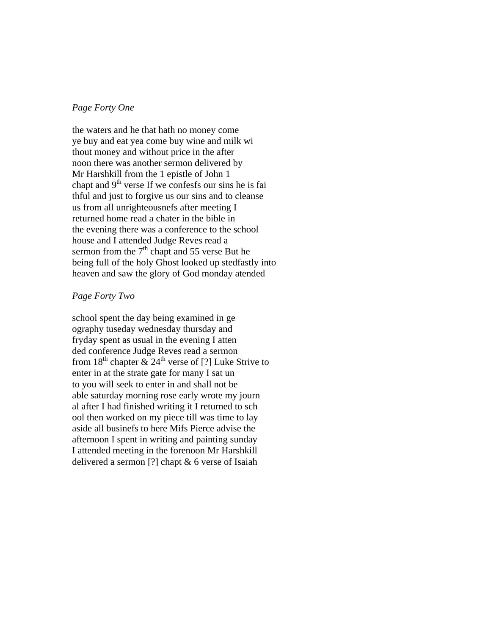# *Page Forty One*

the waters and he that hath no money come ye buy and eat yea come buy wine and milk wi thout money and without price in the after noon there was another sermon delivered by Mr Harshkill from the 1 epistle of John 1 chapt and  $9<sup>th</sup>$  verse If we confesfs our sins he is fai thful and just to forgive us our sins and to cleanse us from all unrighteousnefs after meeting I returned home read a chater in the bible in the evening there was a conference to the school house and I attended Judge Reves read a sermon from the  $7<sup>th</sup>$  chapt and 55 verse But he being full of the holy Ghost looked up stedfastly into heaven and saw the glory of God monday atended

# *Page Forty Two*

school spent the day being examined in ge ography tuseday wednesday thursday and fryday spent as usual in the evening I atten ded conference Judge Reves read a sermon from  $18<sup>th</sup>$  chapter  $\& 24<sup>th</sup>$  verse of [?] Luke Strive to enter in at the strate gate for many I sat un to you will seek to enter in and shall not be able saturday morning rose early wrote my journ al after I had finished writing it I returned to sch ool then worked on my piece till was time to lay aside all businefs to here Mifs Pierce advise the afternoon I spent in writing and painting sunday I attended meeting in the forenoon Mr Harshkill delivered a sermon [?] chapt & 6 verse of Isaiah